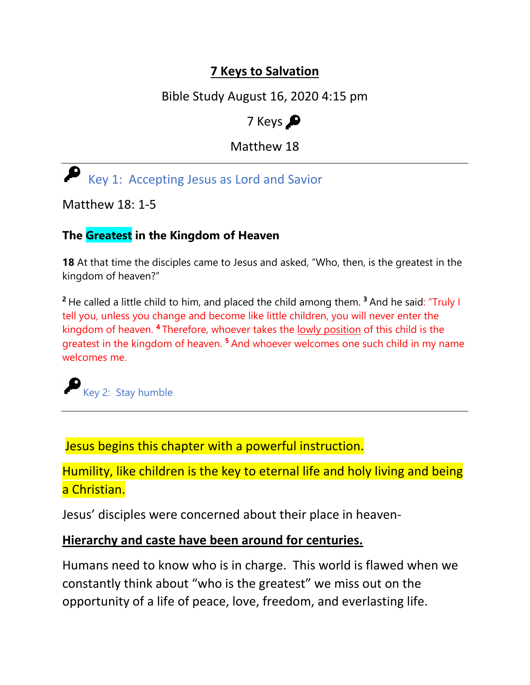# **7 Keys to Salvation**

Bible Study August 16, 2020 4:15 pm

7 Keys  $\bullet$ 

Matthew 18

Key 1: Accepting Jesus as Lord and Savior

Matthew 18: 1-5

## **The Greatest in the Kingdom of Heaven**

**18** At that time the disciples came to Jesus and asked, "Who, then, is the greatest in the kingdom of heaven?"

**<sup>2</sup>**He called a little child to him, and placed the child among them. **<sup>3</sup>**And he said: "Truly I tell you, unless you change and become like little children, you will never enter the kingdom of heaven. **<sup>4</sup>**Therefore, whoever takes the lowly position of this child is the greatest in the kingdom of heaven. **<sup>5</sup>**And whoever welcomes one such child in my name welcomes me.

Key 2: Stay humble

Jesus begins this chapter with a powerful instruction.

Humility, like children is the key to eternal life and holy living and being a Christian.

Jesus' disciples were concerned about their place in heaven-

#### **Hierarchy and caste have been around for centuries.**

Humans need to know who is in charge. This world is flawed when we constantly think about "who is the greatest" we miss out on the opportunity of a life of peace, love, freedom, and everlasting life.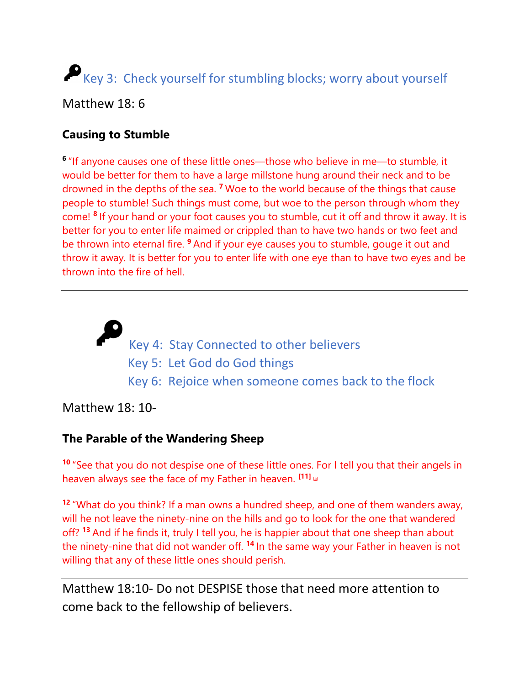# Key 3: Check yourself for stumbling blocks; worry about yourself

Matthew 18: 6

## **Causing to Stumble**

**<sup>6</sup>**"If anyone causes one of these little ones—those who believe in me—to stumble, it would be better for them to have a large millstone hung around their neck and to be drowned in the depths of the sea. **<sup>7</sup>**Woe to the world because of the things that cause people to stumble! Such things must come, but woe to the person through whom they come! **<sup>8</sup>**If your hand or your foot causes you to stumble, cut it off and throw it away. It is better for you to enter life maimed or crippled than to have two hands or two feet and be thrown into eternal fire. **<sup>9</sup>**And if your eye causes you to stumble, gouge it out and throw it away. It is better for you to enter life with one eye than to have two eyes and be thrown into the fire of hell.

> Key 4: Stay Connected to other believers Key 5: Let God do God things Key 6: Rejoice when someone comes back to the flock

## Matthew 18: 10-

#### **The Parable of the Wandering Sheep**

**<sup>10</sup>** "See that you do not despise one of these little ones. For I tell you that their angels in heaven always see the face of my Father in heaven. **[11]** [\[a\]](https://www.biblegateway.com/passage/?search=Matthew+18&version=NIV#fen-NIV-23739a)

**<sup>12</sup>** "What do you think? If a man owns a hundred sheep, and one of them wanders away, will he not leave the ninety-nine on the hills and go to look for the one that wandered off? **<sup>13</sup>** And if he finds it, truly I tell you, he is happier about that one sheep than about the ninety-nine that did not wander off. **<sup>14</sup>** In the same way your Father in heaven is not willing that any of these little ones should perish.

Matthew 18:10- Do not DESPISE those that need more attention to come back to the fellowship of believers.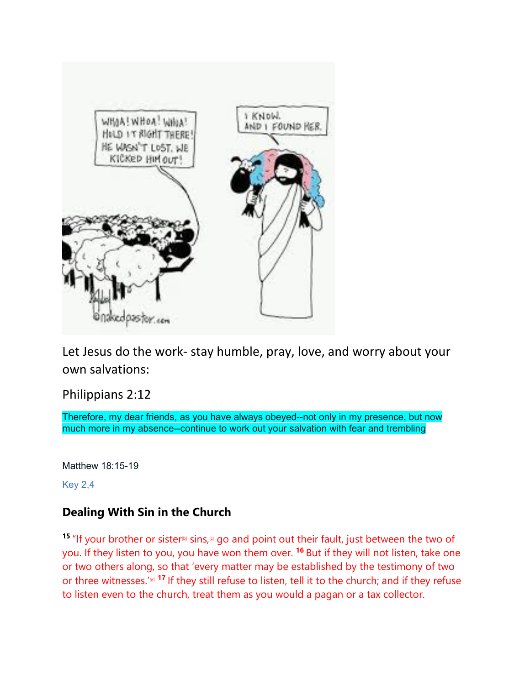

Let Jesus do the work- stay humble, pray, love, and worry about your own salvations:

Philippians 2:12

Therefore, my dear friends, as you have always obeyed--not only in my presence, but now much more in my absence--continue to work out your salvation with fear and trembling

Matthew 18:15-19

Key 2,4

#### **Dealing With Sin in the Church**

**15** "If your brother or sister<sup>[b]</sup> sins,<sup>[d]</sup> go and point out their fault, just between the two of you. If they listen to you, you have won them over. **<sup>16</sup>** But if they will not listen, take one or two others along, so that 'every matter may be established by the testimony of two or three witnesses.'<sup>[d]</sup> 17 If they still refuse to listen, tell it to the church; and if they refuse to listen even to the church, treat them as you would a pagan or a tax collector.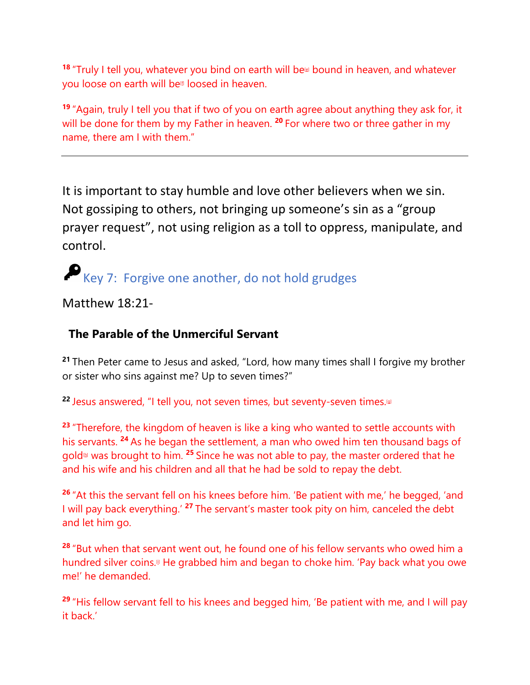**<sup>18</sup>** "Truly I tell you, whatever you bind on earth will be bound in heaven, and whatever you loose on earth will be<sup>®</sup> loosed in heaven.

**<sup>19</sup>** "Again, truly I tell you that if two of you on earth agree about anything they ask for, it will be done for them by my Father in heaven. **<sup>20</sup>** For where two or three gather in my name, there am I with them."

It is important to stay humble and love other believers when we sin. Not gossiping to others, not bringing up someone's sin as a "group prayer request", not using religion as a toll to oppress, manipulate, and control.

Key 7: Forgive one another, do not hold grudges

Matthew 18:21-

#### **The Parable of the Unmerciful Servant**

**<sup>21</sup>** Then Peter came to Jesus and asked, "Lord, how many times shall I forgive my brother or sister who sins against me? Up to seven times?"

**22** Jesus answered, "I tell you, not seven times, but seventy-seven times.<sup>[a]</sup>

**<sup>23</sup>** "Therefore, the kingdom of heaven is like a king who wanted to settle accounts with his servants. **<sup>24</sup>** As he began the settlement, a man who owed him ten thousand bags of gol[d\[h\]](https://www.biblegateway.com/passage/?search=Matthew+18&version=NIV#fen-NIV-23752h) was brought to him. **<sup>25</sup>** Since he was not able to pay, the master ordered that he and his wife and his children and all that he had be sold to repay the debt.

**<sup>26</sup>** "At this the servant fell on his knees before him. 'Be patient with me,' he begged, 'and I will pay back everything.' **<sup>27</sup>** The servant's master took pity on him, canceled the debt and let him go.

**<sup>28</sup>** "But when that servant went out, he found one of his fellow servants who owed him a hundred silver coins.<sup>®</sup> He grabbed him and began to choke him. 'Pay back what you owe me!' he demanded.

**<sup>29</sup>** "His fellow servant fell to his knees and begged him, 'Be patient with me, and I will pay it back.'